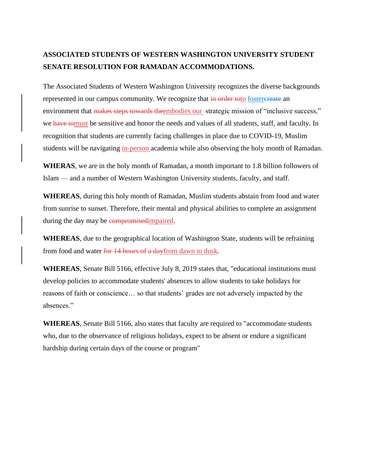## **ASSOCIATED STUDENTS OF WESTERN WASHINGTON UNIVERSITY STUDENT SENATE RESOLUTION FOR RAMADAN ACCOMMODATIONS.**

The Associated Students of Western Washington University recognizes the diverse backgrounds represented in our campus community. We recognize that in order to to fostercreate an environment that makes steps towards theembodies our -strategic mission of "inclusive success," we have tomust be sensitive and honor the needs and values of all students, staff, and faculty. In recognition that students are currently facing challenges in place due to COVID-19, Muslim students will be navigating in-person academia while also observing the holy month of Ramadan.

**WHERAS**, we are in the holy month of Ramadan, a month important to 1.8 billion followers of Islam — and a number of Western Washington University students, faculty, and staff.

**WHEREAS**, during this holy month of Ramadan, Muslim students abstain from food and water from sunrise to sunset. Therefore, their mental and physical abilities to complete an assignment during the day may be compromised impaired.

**WHEREAS**, due to the geographical location of Washington State, students will be refraining from food and water for 14 hours of a dayfrom dawn to dusk.

**WHEREAS**, Senate Bill 5166, effective July 8, 2019 states that, "educational institutions must develop policies to accommodate students' absences to allow students to take holidays for reasons of faith or conscience… so that students' grades are not adversely impacted by the absences."

**WHEREAS**, Senate Bill 5166, also states that faculty are required to "accommodate students who, due to the observance of religious holidays, expect to be absent or endure a significant hardship during certain days of the course or program"